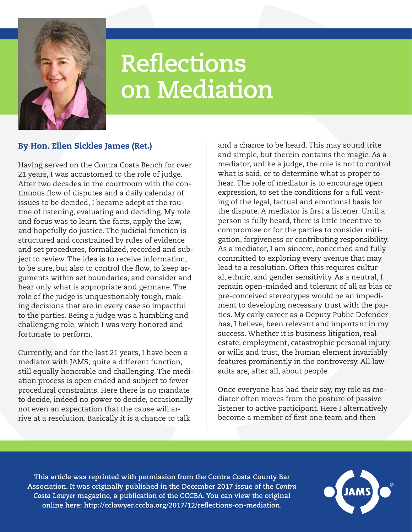

## **Reflections on Mediation**

## By Hon. Ellen Sickles James (Ret.)

Having served on the Contra Costa Bench for over 21 years, I was accustomed to the role of judge. After two decades in the courtroom with the continuous flow of disputes and a daily calendar of issues to be decided, I became adept at the routine of listening, evaluating and deciding. My role and focus was to learn the facts, apply the law, and hopefully do justice. The judicial function is structured and constrained by rules of evidence and set procedures, formalized, recorded and subject to review. The idea is to receive information, to be sure, but also to control the flow, to keep arguments within set boundaries, and consider and hear only what is appropriate and germane. The role of the judge is unquestionably tough, making decisions that are in every case so impactful to the parties. Being a judge was a humbling and challenging role, which I was very honored and fortunate to perform.

Currently, and for the last 21 years, I have been a mediator with JAMS; quite a different function, still equally honorable and challenging. The mediation process is open ended and subject to fewer procedural constraints. Here there is no mandate to decide, indeed no power to decide, occasionally not even an expectation that the cause will arrive at a resolution. Basically it is a chance to talk

and a chance to be heard. This may sound trite and simple, but therein contains the magic. As a mediator, unlike a judge, the role is not to control what is said, or to determine what is proper to hear. The role of mediator is to encourage open expression, to set the conditions for a full venting of the legal, factual and emotional basis for the dispute. A mediator is first a listener. Until a person is fully heard, there is little incentive to compromise or for the parties to consider mitigation, forgiveness or contributing responsibility. As a mediator, I am sincere, concerned and fully committed to exploring every avenue that may lead to a resolution. Often this requires cultural, ethnic, and gender sensitivity. As a neutral, I remain open-minded and tolerant of all as bias or pre-conceived stereotypes would be an impediment to developing necessary trust with the parties. My early career as a Deputy Public Defender has, I believe, been relevant and important in my success. Whether it is business litigation, real estate, employment, catastrophic personal injury, or wills and trust, the human element invariably features prominently in the controversy. All lawsuits are, after all, about people.

Once everyone has had their say, my role as mediator often moves from the posture of passive listener to active participant. Here I alternatively become a member of first one team and then

**This article was reprinted with permission from the Contra Costa County Bar Association. It was originally published in the December 2017 issue of the** *Contra Costa Lawyer* **magazine, a publication of the CCCBA. You can view the original online here: <http://cclawyer.cccba.org/2017/12/reflections-on-mediation>.**